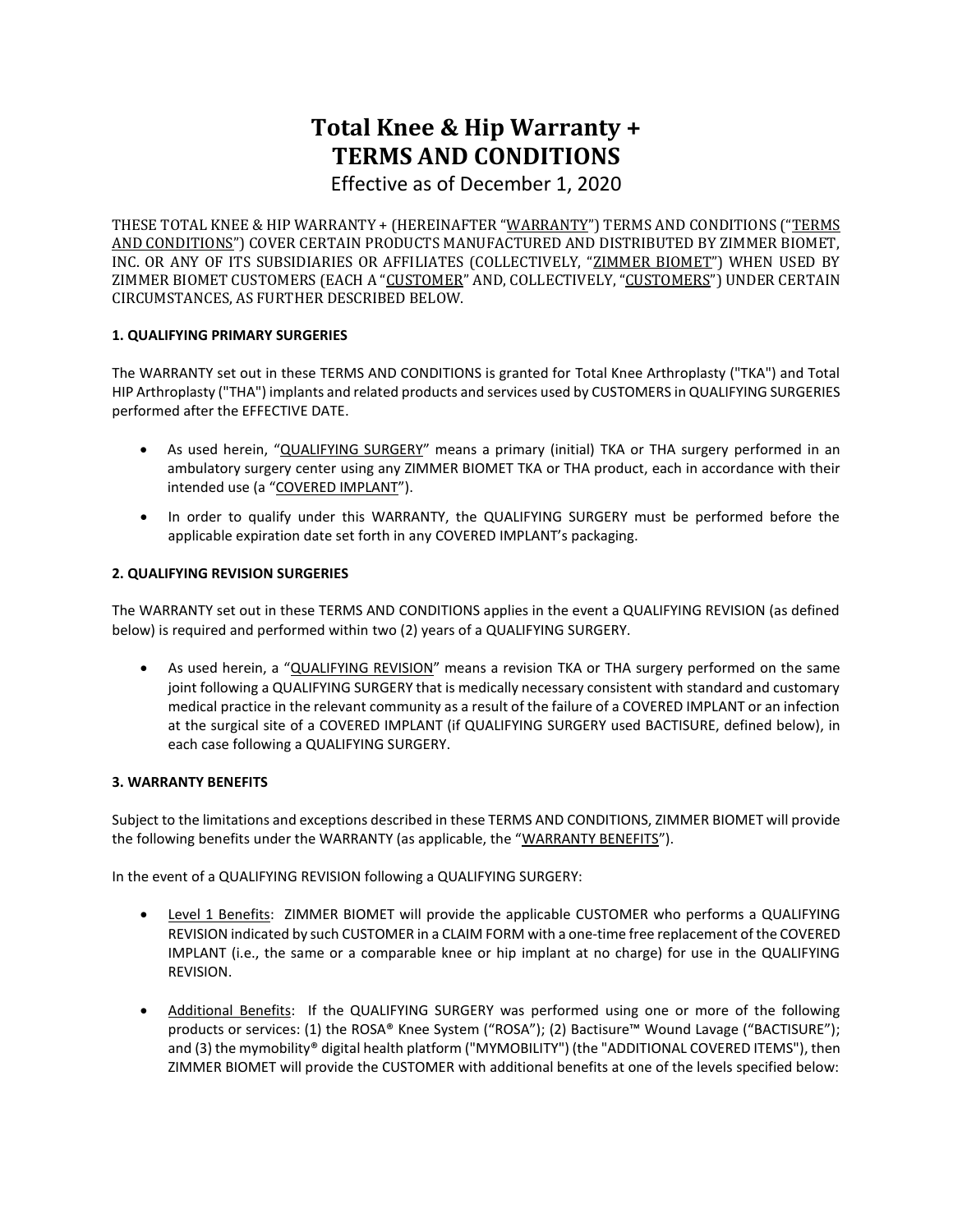# **Total Knee & Hip Warranty + TERMS AND CONDITIONS**

Effective as of December 1, 2020

THESE TOTAL KNEE & HIP WARRANTY + (HEREINAFTER "WARRANTY") TERMS AND CONDITIONS ("TERMS AND CONDITIONS") COVER CERTAIN PRODUCTS MANUFACTURED AND DISTRIBUTED BY ZIMMER BIOMET, INC. OR ANY OF ITS SUBSIDIARIES OR AFFILIATES (COLLECTIVELY, "ZIMMER BIOMET") WHEN USED BY ZIMMER BIOMET CUSTOMERS (EACH A "CUSTOMER" AND, COLLECTIVELY, "CUSTOMERS") UNDER CERTAIN CIRCUMSTANCES, AS FURTHER DESCRIBED BELOW.

# **1. QUALIFYING PRIMARY SURGERIES**

The WARRANTY set out in these TERMS AND CONDITIONS is granted for Total Knee Arthroplasty ("TKA") and Total HIP Arthroplasty ("THA") implants and related products and services used by CUSTOMERS in QUALIFYING SURGERIES performed after the EFFECTIVE DATE.

- As used herein, "QUALIFYING SURGERY" means a primary (initial) TKA or THA surgery performed in an ambulatory surgery center using any ZIMMER BIOMET TKA or THA product, each in accordance with their intended use (a "COVERED IMPLANT").
- In order to qualify under this WARRANTY, the QUALIFYING SURGERY must be performed before the applicable expiration date set forth in any COVERED IMPLANT's packaging.

## **2. QUALIFYING REVISION SURGERIES**

The WARRANTY set out in these TERMS AND CONDITIONS applies in the event a QUALIFYING REVISION (as defined below) is required and performed within two (2) years of a QUALIFYING SURGERY.

As used herein, a "QUALIFYING REVISION" means a revision TKA or THA surgery performed on the same joint following a QUALIFYING SURGERY that is medically necessary consistent with standard and customary medical practice in the relevant community as a result of the failure of a COVERED IMPLANT or an infection at the surgical site of a COVERED IMPLANT (if QUALIFYING SURGERY used BACTISURE, defined below), in each case following a QUALIFYING SURGERY.

#### **3. WARRANTY BENEFITS**

Subject to the limitations and exceptions described in these TERMS AND CONDITIONS, ZIMMER BIOMET will provide the following benefits under the WARRANTY (as applicable, the "WARRANTY BENEFITS").

In the event of a QUALIFYING REVISION following a QUALIFYING SURGERY:

- Level 1 Benefits: ZIMMER BIOMET will provide the applicable CUSTOMER who performs a QUALIFYING REVISION indicated by such CUSTOMER in a CLAIM FORM with a one-time free replacement of the COVERED IMPLANT (i.e., the same or a comparable knee or hip implant at no charge) for use in the QUALIFYING REVISION.
- Additional Benefits: If the QUALIFYING SURGERY was performed using one or more of the following products or services: (1) the ROSA® Knee System ("ROSA"); (2) Bactisure™ Wound Lavage ("BACTISURE"); and (3) the mymobility® digital health platform ("MYMOBILITY") (the "ADDITIONAL COVERED ITEMS"), then ZIMMER BIOMET will provide the CUSTOMER with additional benefits at one of the levels specified below: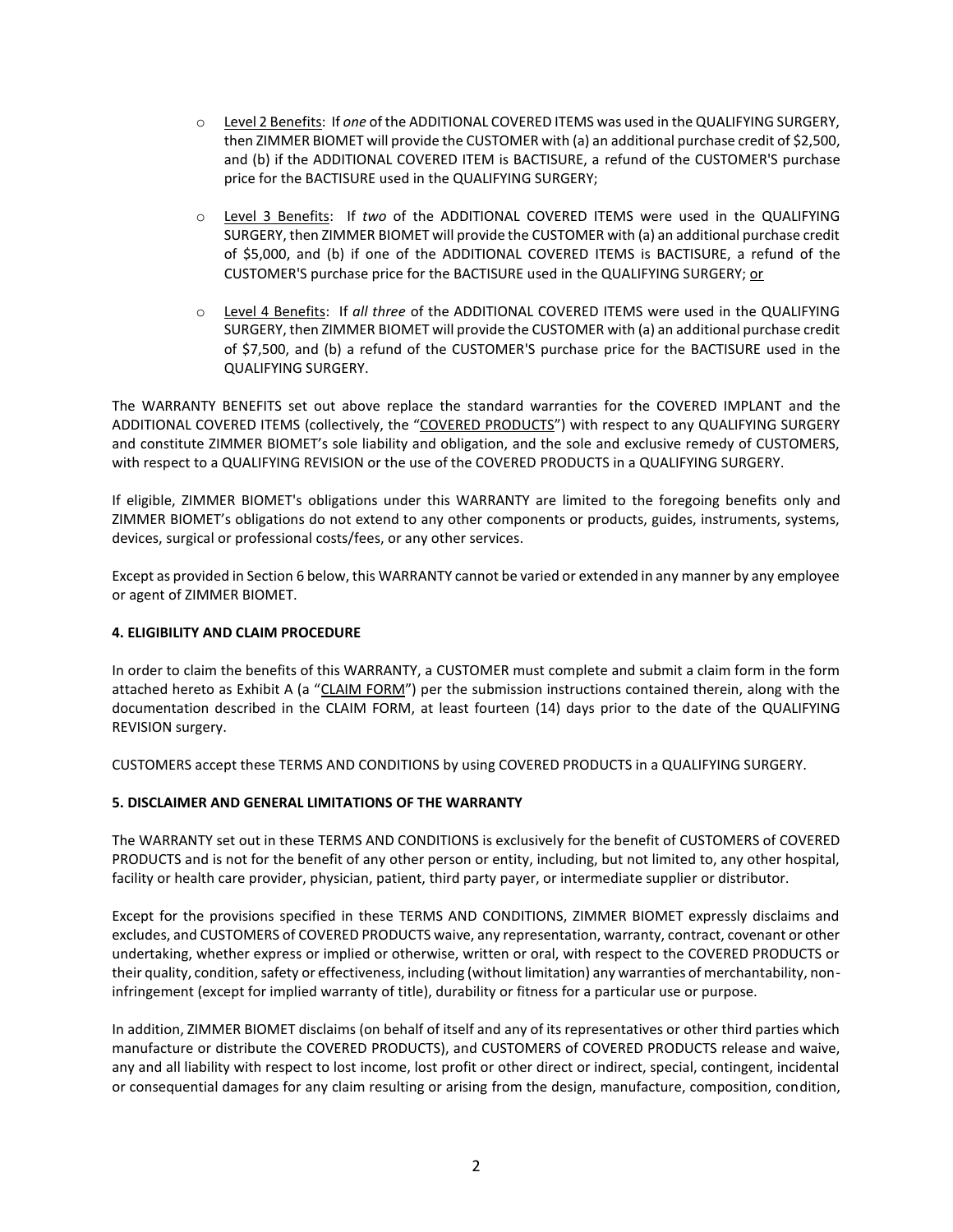- o Level 2 Benefits: If *one* of the ADDITIONAL COVERED ITEMS was used in the QUALIFYING SURGERY, then ZIMMER BIOMET will provide the CUSTOMER with (a) an additional purchase credit of \$2,500, and (b) if the ADDITIONAL COVERED ITEM is BACTISURE, a refund of the CUSTOMER'S purchase price for the BACTISURE used in the QUALIFYING SURGERY;
- o Level 3 Benefits: If *two* of the ADDITIONAL COVERED ITEMS were used in the QUALIFYING SURGERY, then ZIMMER BIOMET will provide the CUSTOMER with (a) an additional purchase credit of \$5,000, and (b) if one of the ADDITIONAL COVERED ITEMS is BACTISURE, a refund of the CUSTOMER'S purchase price for the BACTISURE used in the QUALIFYING SURGERY; or
- o Level 4 Benefits: If *all three* of the ADDITIONAL COVERED ITEMS were used in the QUALIFYING SURGERY, then ZIMMER BIOMET will provide the CUSTOMER with (a) an additional purchase credit of \$7,500, and (b) a refund of the CUSTOMER'S purchase price for the BACTISURE used in the QUALIFYING SURGERY.

The WARRANTY BENEFITS set out above replace the standard warranties for the COVERED IMPLANT and the ADDITIONAL COVERED ITEMS (collectively, the "COVERED PRODUCTS") with respect to any QUALIFYING SURGERY and constitute ZIMMER BIOMET's sole liability and obligation, and the sole and exclusive remedy of CUSTOMERS, with respect to a QUALIFYING REVISION or the use of the COVERED PRODUCTS in a QUALIFYING SURGERY.

If eligible, ZIMMER BIOMET's obligations under this WARRANTY are limited to the foregoing benefits only and ZIMMER BIOMET's obligations do not extend to any other components or products, guides, instruments, systems, devices, surgical or professional costs/fees, or any other services.

Except as provided in Section 6 below, this WARRANTY cannot be varied or extended in any manner by any employee or agent of ZIMMER BIOMET.

#### **4. ELIGIBILITY AND CLAIM PROCEDURE**

In order to claim the benefits of this WARRANTY, a CUSTOMER must complete and submit a claim form in the form attached hereto as Exhibit A (a "CLAIM FORM") per the submission instructions contained therein, along with the documentation described in the CLAIM FORM, at least fourteen (14) days prior to the date of the QUALIFYING REVISION surgery.

CUSTOMERS accept these TERMS AND CONDITIONS by using COVERED PRODUCTS in a QUALIFYING SURGERY.

#### **5. DISCLAIMER AND GENERAL LIMITATIONS OF THE WARRANTY**

The WARRANTY set out in these TERMS AND CONDITIONS is exclusively for the benefit of CUSTOMERS of COVERED PRODUCTS and is not for the benefit of any other person or entity, including, but not limited to, any other hospital, facility or health care provider, physician, patient, third party payer, or intermediate supplier or distributor.

Except for the provisions specified in these TERMS AND CONDITIONS, ZIMMER BIOMET expressly disclaims and excludes, and CUSTOMERS of COVERED PRODUCTS waive, any representation, warranty, contract, covenant or other undertaking, whether express or implied or otherwise, written or oral, with respect to the COVERED PRODUCTS or their quality, condition, safety or effectiveness, including (without limitation) any warranties of merchantability, noninfringement (except for implied warranty of title), durability or fitness for a particular use or purpose.

In addition, ZIMMER BIOMET disclaims (on behalf of itself and any of its representatives or other third parties which manufacture or distribute the COVERED PRODUCTS), and CUSTOMERS of COVERED PRODUCTS release and waive, any and all liability with respect to lost income, lost profit or other direct or indirect, special, contingent, incidental or consequential damages for any claim resulting or arising from the design, manufacture, composition, condition,